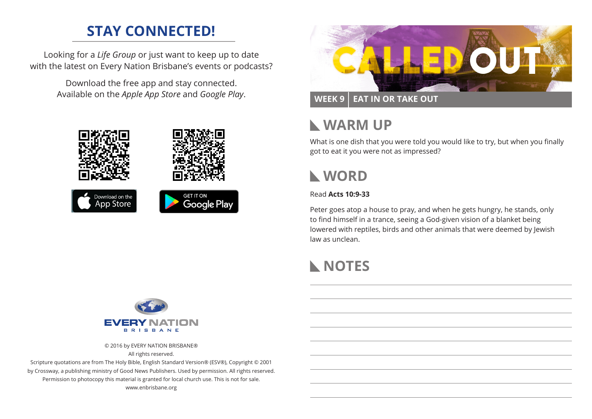# **STAY CONNECTED!**

Looking for a *Life Group* or just want to keep up to date with the latest on Every Nation Brisbane's events or podcasts?

> Download the free app and stay connected. Available on the *Apple App Store* and *Google Play*.





### **WEEK 9 EAT IN OR TAKE OUT**

#### **WARM UP**  $\mathbf{L}$

What is one dish that you were told you would like to try, but when you finally got to eat it you were not as impressed?

# **WORD**

#### Read **Acts 10:9-33**

Peter goes atop a house to pray, and when he gets hungry, he stands, only to find himself in a trance, seeing a God-given vision of a blanket being lowered with reptiles, birds and other animals that were deemed by Jewish law as unclean.

# **NOTES**



© 2016 by EVERY NATION BRISBANE®

All rights reserved.

Scripture quotations are from The Holy Bible, English Standard Version® (ESV®), Copyright © 2001 by Crossway, a publishing ministry of Good News Publishers. Used by permission. All rights reserved. Permission to photocopy this material is granted for local church use. This is not for sale. www.enbrisbane.org